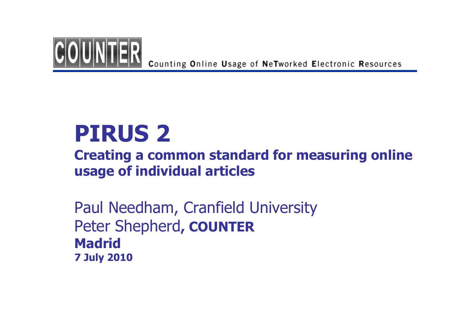

Counting Online Usage of NeTworked Electronic Resources

## PIRUS <sup>2</sup>

### Creating a common standard for measuring online usage of individual articles

Paul Needham, Cranfield UniversityPeter Shepherd, COUNTERMadrid 7 July 2010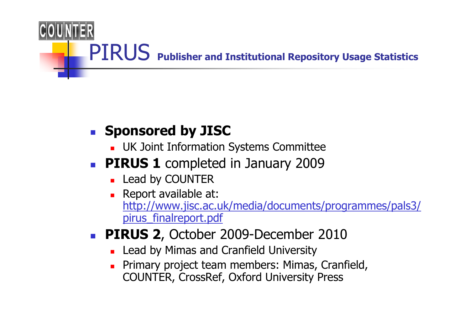

### П **Sponsored by JISC**

- ٠ UK Joint Information Systems Committee
- П **PIRUS 1** completed in January 2009
	- ▔ ■ Lead by COUNTER
	- Report available a **Report available at:** http://www.jisc.ac.uk/media/documents/programmes/pals3/pirus finalreport.pdf
- П **PIRUS 2, October 2009-December 2010** 
	- ▔ **Lead by Mimas and Cranfield University**
	- ▔ Primary project team members: Mimas, Cranfield, COUNTER, CrossRef, Oxford University Press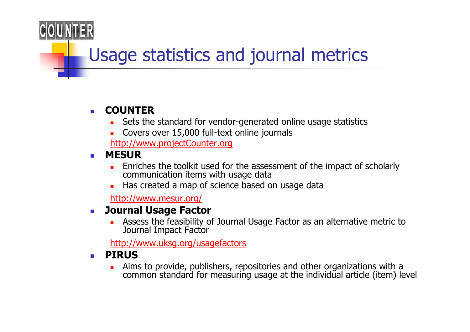## Usage statistics and journal metrics

### $\sim$ COUNTER

- **Sets the standard for vendor-generated online usage statistics**
- П Covers over 15,000 full-text online journals

http://www.projectCounter.org

- $\sim$  MESUR
	- **Enriches the toolkit used for the assessment of the impact of scholarly** communication items with usage data
	- **Has created a map of science based on usage data**

http://www.mesur.org/

### $\sim$ Journal Usage Factor

П Assess the feasibility of Journal Usage Factor as an alternative metric to Journal Impact Factor

http://www.uksg.org/usagefactors

### $\mathcal{L}_{\text{max}}$ PIRUS

Aims to provide, publishers, repositories and other organizations with a  $\blacksquare$ common standard for measuring usage at the individual article (item) level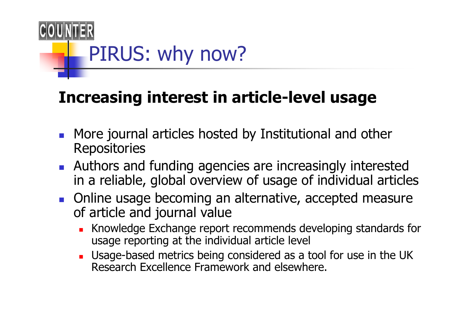

## Increasing interest in article-level usage

- $\overline{\phantom{a}}$ **More journal articles hosted by Institutional and other Repositories**
- F. **Authors and funding agencies are increasingly interested** in a reliable, global overview of usage of individual articles
- **Diamage becoming an alternative, accepted measure** of article and journal value
	- $\blacksquare$  Knowledge Exchange repor **K** Knowledge Exchange report recommends developing standards for usage reporting at the individual article level
	- П **Usage-based metrics being considered as a tool for use in the UK** Research Excellence Framework and elsewhere.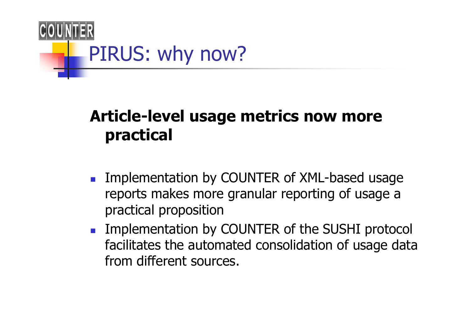

## Article-level usage metrics now more practical

- F. **Implementation by COUNTER of XML-based usage** reports makes more granular reporting of usage a practical proposition
- F. **Implementation by COUNTER of the SUSHI protocol** facilitates the automated consolidation of usage data from different sources.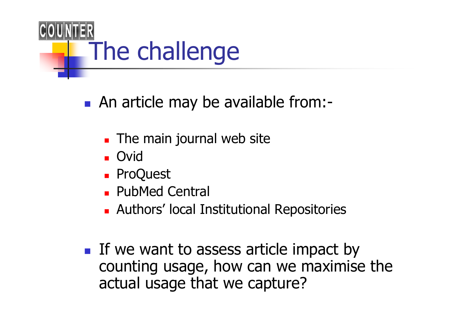

- An article may be available from:-
	- × **The main journal web site**
	- × ■ Ovid
	- × ■ ProQuest
	- × **PubMed Central**
	- × Authors' local Institutional Repositories
- If we want to assess article impact by counting usage, how can we maximise the actual usage that we capture?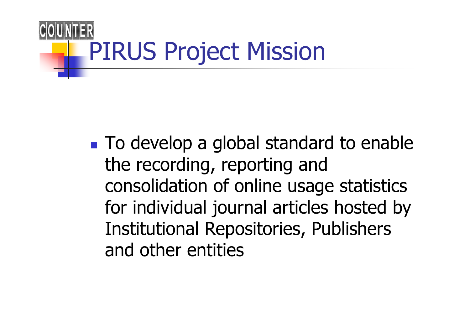

■ To develop a global standard to enable the recording, reporting and consolidation of online usage statistics for individual journal articles hosted by Institutional Repositories, Publishers and other entities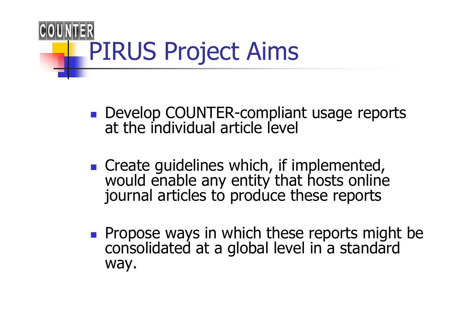

- Develop COUNTER-compliant usage reports<br>at the individual article level
- Create guidelines which, if implemented, would enable any entity that hosts online journal articles to produce these reports
- M **Propose ways in which these reports might be consolidated at a global level in a standard** way.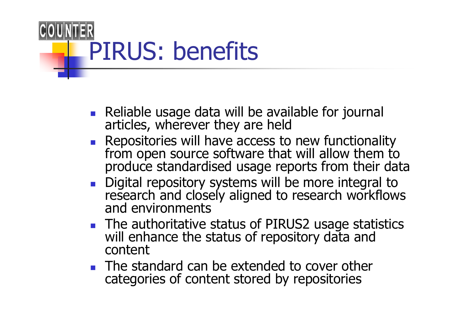

- F. Reliable usage data will be available for journal articles, wherever they are held
- $\blacksquare$  Repositories will have access to from open source software that will allow them to produce standardised usage reports from their data
- П Digital repository systems will be more integral to research and closely aligned to research workflows<br>and environments
- П **The authoritative status of PIRUS2 usage statistics**  will enhance the status of repository data and content
- П  $\blacksquare$  The standard can be extended to cover other categories of content stored by repositories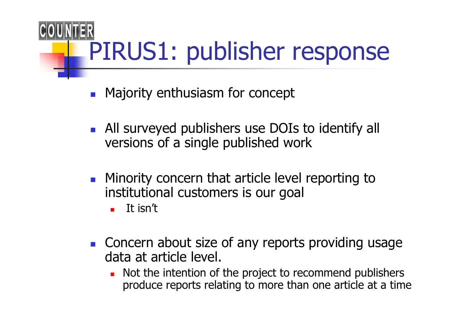# PIRUS1: publisher response

- $\mathcal{L}_{\text{max}}$ Majority enthusiasm for concept
- F. **All surveyed publishers use DOIs to identify all** versions of a single published work
- H. **Minority concern that article level reporting to** institutional customers is our goal
	- $\blacksquare$ It isn't
- H. **Concern about size of any reports providing usage** data at article level.
	- ▔ Not the intention of the project to recommend publishers produce reports relating to more than one article at a time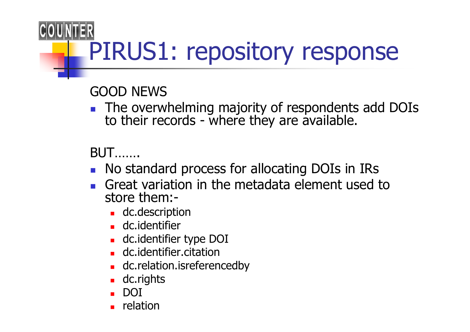# PIRUS1: repository response

GOOD NEWS

 $\blacksquare$  The over The overwhelming majority of respondents add DOIs<br>to their records - where they are available.

BUT…….

- П **No standard process for allocating DOIs in IRs**
- Great variation in the metadata element used to H. store them:-
	- ▔ **dc.description**
	- ▔ **dc.identifier**
	- ▔ dc.identifier type DOI
	- ▔ **dc.identifier.citation**
	- $\blacksquare$  dc.relation.isrefere **dc.relation.isreferencedby**
	- ▔ dc.rights
	- ▔ DOI
	- ▔ relation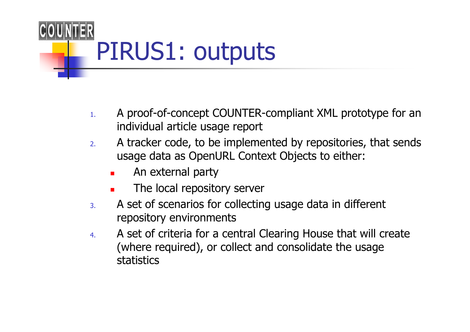

- 1. A proof-of-concept COUNTER-compliant XML prototype for an individual article usage report
- 2. A tracker code, to be implemented by repositories, that sends usage data as OpenURL Context Objects to either:
	- ▉ An external party
	- ▔ The local repository server
- 3. A set of scenarios for collecting usage data in different repository environments
- 4. A set of criteria for a central Clearing House that will create (where required), or collect and consolidate the usage statistics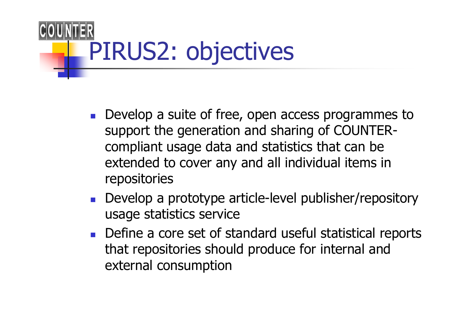

- П **Develop a suite of free, open access programmes to** support the generation and sharing of COUNTERcompliant usage data and statistics that can be extended to cover any and all individual items in repositories
- П **Develop a prototype article-level publisher/repository** usage statistics service
- F. **Define a core set of standard useful statistical reports** that repositories should produce for internal and external consumption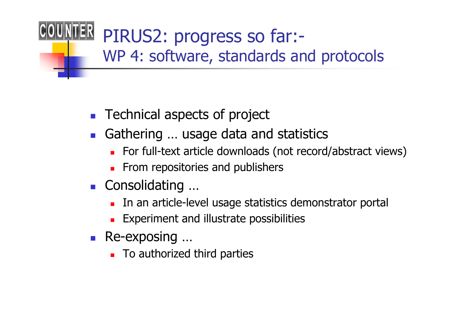- П **Technical aspects of project**
- П Gathering ... usage data and statistics<br>For full-text article downloads (pot record
	- ٠ For full-text article downloads (not record/abstract views)
	- ▔ **From repositories and publishers**
- H. ■ Consolidating …
	- ∎ ⊥n an article-i **IRED 19 In an article-level usage statistics demonstrator portal**
	- ٠ **Experiment and illustrate possibilities**
- П ■ Re-exposing …
	- u To authorize **To authorized third parties**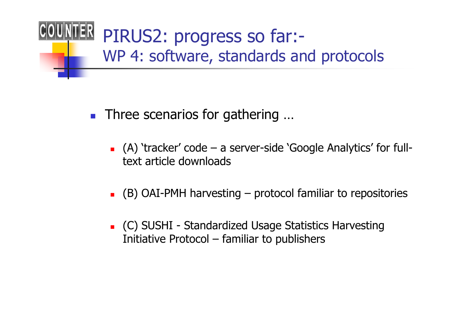

- П ■ Three scenarios for gathering ...
	- ▔  $\blacksquare$  (A) 'tracker' code – a server-side 'Google Analytics' for full-<br>text article downloads text article downloads
	- ٠ (B) OAI-PMH harvesting – protocol familiar to repositories
	- ▔ C) SUSHI - Standardized Usage Statistics Harvesting<br>Initiative Protocol – familiar to publishers Initiative Protocol – familiar to publishers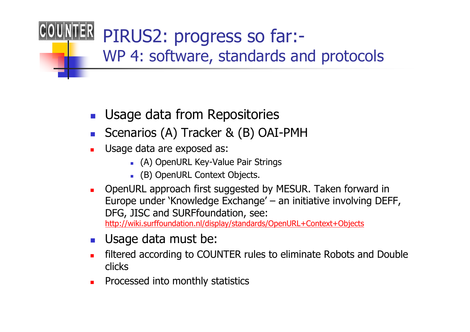- П Usage data from Repositories
- L. Scenarios (A) Tracker & (B) OAI-PMH
- $\blacksquare$  Usage data are exposed as:
	- (A) OpenURL Key-Value Pair Strings
	- (B) OpenURL Context Objects.
- OpenURL approach first suggested by MESUR. Taken forward in Europe under 'Knowledge Exchange' – an initiative involving DEFF, DFG, JISC and SURFfoundation, see: http://wiki.surffoundation.nl/display/standards/OpenURL+Context+Objects
- $\mathcal{C}^{\mathcal{A}}$ Usage data must be:
- filtered according to COUNTER rules to eliminate Robots and Double clicks
- □ Processed into monthly statistics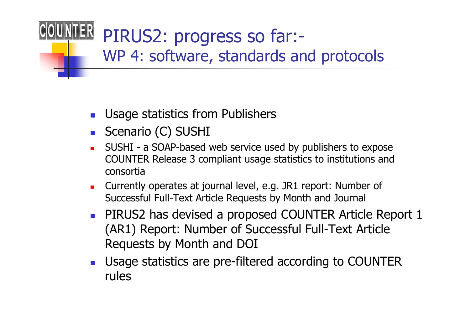- П Usage statistics from Publishers
- П ■ Scenario (C) SUSHI
- □ SUSHI - a SOAP-based web service used by publishers to expose COUNTER Release 3 compliant usage statistics to institutions andconsortia
- $\blacksquare$  Currently operates at journal level, e.g. JR1 report: Number of Successful Full-Text Article Requests by Month and Journal
- П **PIRUS2 has devised a proposed COUNTER Article Report 1** (AR1) Report: Number of Successful Full-Text Article Requests by Month and DOI
- П **Usage statistics are pre-filtered according to COUNTER** rules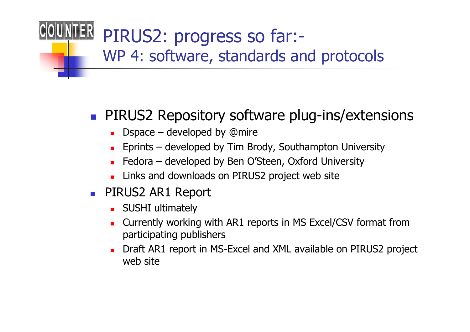### p. **PIRUS2 Repository software plug-ins/extensions**

- **D**space developed by @mire<br>Fariate developed by Tim Br
- **Eprints developed by Tim Brody, Southampton University**<br>Federal developed by Pen O'Ctean, Oxford University
- Fedora developed by Ben O'Steen, Oxford University<br>Links and downloads an BIBUS2 areject web site
- ▉ Links and downloads on PIRUS2 project web site
- PIRUS2 AR1 Report
	- **SUSHI ultimately**
	- □ Currently working with AR1 reports in MS Excel/CSV format from participating publishers
	- $\blacksquare$  Draft AR1 report in MS-Excel and XML available on PIRUS2 project web site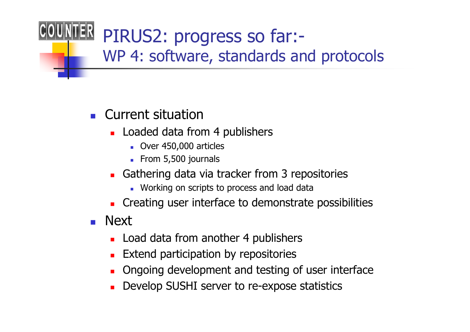### П **Current situation**

- ▔ **Loaded data from 4 publishers** 
	- Over 450,000 articles
	- **From 5,500 journals**
- ▉ **Gathering data via tracker from 3 repositories** 
	- Working on scripts to process and load data
- ▔ **Creating user interface to demonstrate possibilities**
- П ■ Next
	- ٠ **Load data from another 4 publishers**
	- ▔ Extend participation by repositories
	- ▔ Ongoing development and testing of user interface
	- ٠ Develop SUSHI server to re-expose statistics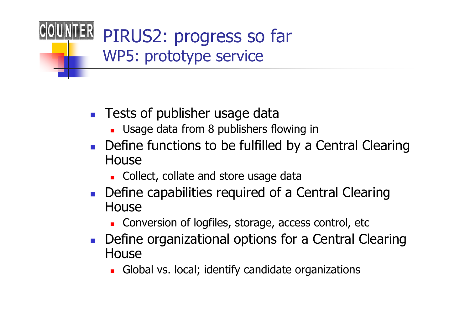# PIRUS2: progress so farWP5: prototype service

- F. **Tests of publisher usage data** 
	- $\blacksquare$  Usage data from 8 publishers f **Usage data from 8 publishers flowing in**
- П **Define functions to be fulfilled by a Central Clearing** House
	- $\overline{\phantom{a}}$  Co **EXECOLLECT, collate and store usage data**
- П **Define capabilities required of a Central Clearing** House
	- $\overline{\phantom{a}}$  Co **EXECONCRETED EXECUTE:** Conversion of logfiles, storage, access control, etc
- F. **Define organizational options for a Central Clearing** House
	- Glo **Global vs. local; identify candidate organizations**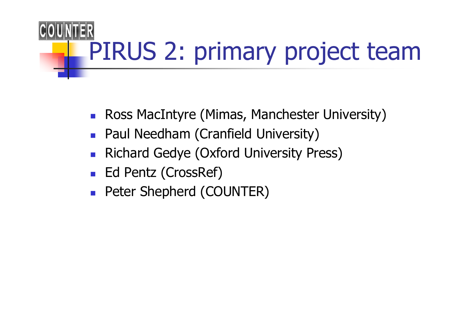

- П **Ross MacIntyre (Mimas, Manchester University)**
- П **Paul Needham (Cranfield University)**
- $\mathcal{C}^{\mathcal{A}}$ Richard Gedye (Oxford University Press)
- П ■ Ed Pentz (CrossRef)
- П ■ Peter Shepherd (COUNTER)